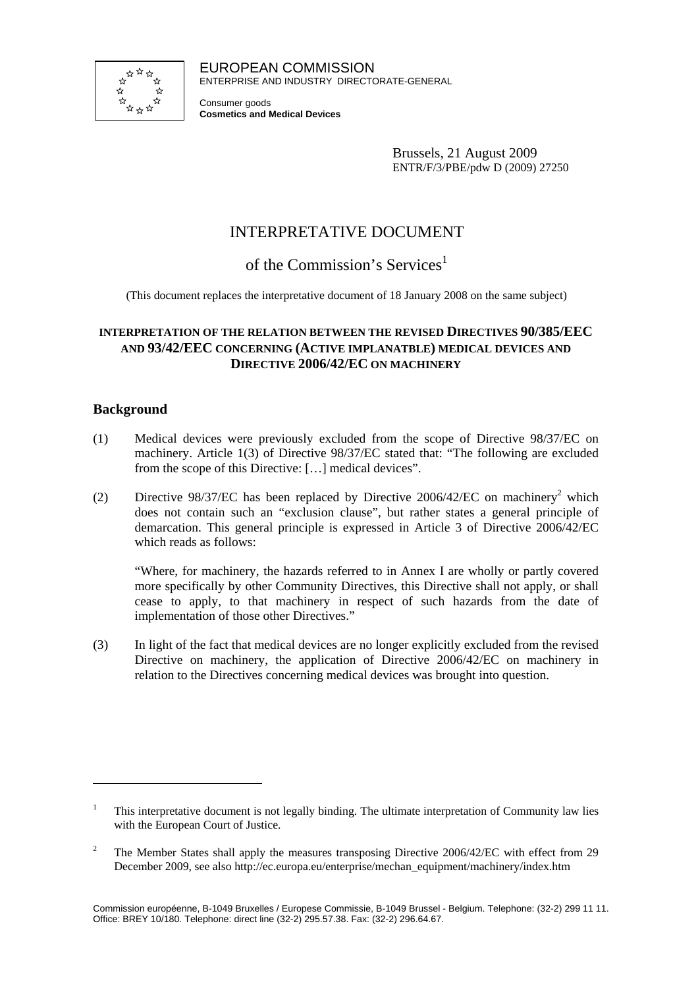

EUROPEAN COMMISSION ENTERPRISE AND INDUSTRY DIRECTORATE-GENERAL

Consumer goods **Cosmetics and Medical Devices**

> Brussels, 21 August 2009 ENTR/F/3/PBE/pdw D (2009) 27250

# INTERPRETATIVE DOCUMENT

## of the Commission's Services<sup>1</sup>

(This document replaces the interpretative document of 18 January 2008 on the same subject)

### **INTERPRETATION OF THE RELATION BETWEEN THE REVISED DIRECTIVES 90/385/EEC AND 93/42/EEC CONCERNING (ACTIVE IMPLANATBLE) MEDICAL DEVICES AND DIRECTIVE 2006/42/EC ON MACHINERY**

#### **Background**

 $\overline{a}$ 

- (1) Medical devices were previously excluded from the scope of Directive 98/37/EC on machinery. Article 1(3) of Directive 98/37/EC stated that: "The following are excluded from the scope of this Directive: […] medical devices".
- (2) Directive 98/37/EC has been replaced by Directive 2006/42/EC on machinery<sup>2</sup> which does not contain such an "exclusion clause", but rather states a general principle of demarcation. This general principle is expressed in Article 3 of Directive 2006/42/EC which reads as follows:

"Where, for machinery, the hazards referred to in Annex I are wholly or partly covered more specifically by other Community Directives, this Directive shall not apply, or shall cease to apply, to that machinery in respect of such hazards from the date of implementation of those other Directives."

(3) In light of the fact that medical devices are no longer explicitly excluded from the revised Directive on machinery, the application of Directive 2006/42/EC on machinery in relation to the Directives concerning medical devices was brought into question.

<sup>1</sup> This interpretative document is not legally binding. The ultimate interpretation of Community law lies with the European Court of Justice.

<sup>2</sup> The Member States shall apply the measures transposing Directive 2006/42/EC with effect from 29 December 2009, see also http://ec.europa.eu/enterprise/mechan\_equipment/machinery/index.htm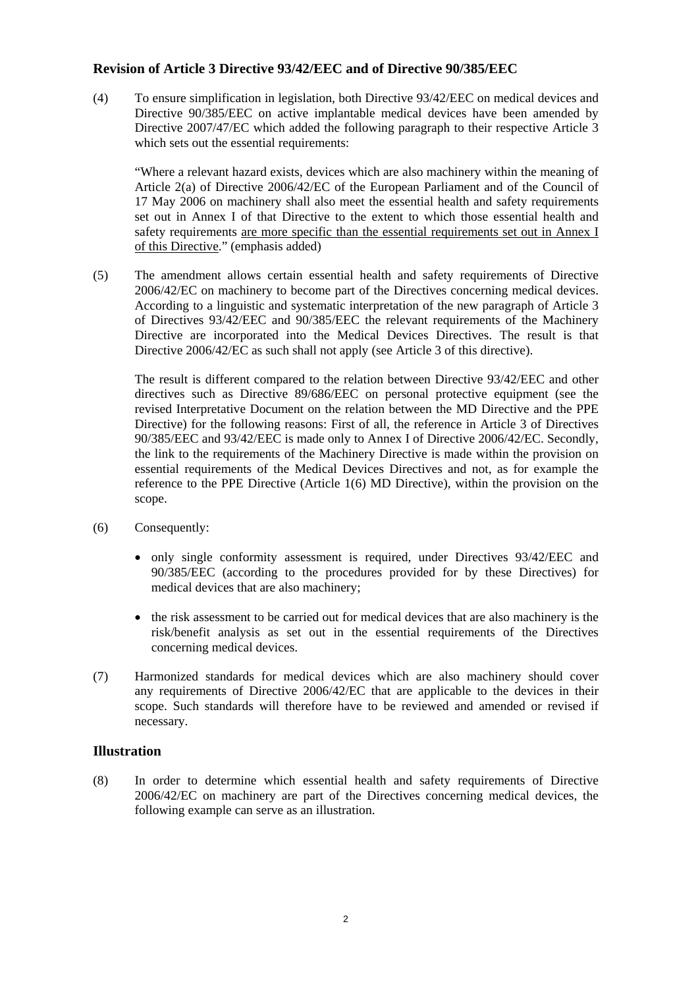#### **Revision of Article 3 Directive 93/42/EEC and of Directive 90/385/EEC**

(4) To ensure simplification in legislation, both Directive 93/42/EEC on medical devices and Directive 90/385/EEC on active implantable medical devices have been amended by Directive 2007/47/EC which added the following paragraph to their respective Article 3 which sets out the essential requirements:

"Where a relevant hazard exists, devices which are also machinery within the meaning of Article 2(a) of Directive 2006/42/EC of the European Parliament and of the Council of 17 May 2006 on machinery shall also meet the essential health and safety requirements set out in Annex I of that Directive to the extent to which those essential health and safety requirements are more specific than the essential requirements set out in Annex I of this Directive." (emphasis added)

(5) The amendment allows certain essential health and safety requirements of Directive 2006/42/EC on machinery to become part of the Directives concerning medical devices. According to a linguistic and systematic interpretation of the new paragraph of Article 3 of Directives 93/42/EEC and 90/385/EEC the relevant requirements of the Machinery Directive are incorporated into the Medical Devices Directives. The result is that Directive 2006/42/EC as such shall not apply (see Article 3 of this directive).

The result is different compared to the relation between Directive 93/42/EEC and other directives such as Directive 89/686/EEC on personal protective equipment (see the revised Interpretative Document on the relation between the MD Directive and the PPE Directive) for the following reasons: First of all, the reference in Article 3 of Directives 90/385/EEC and 93/42/EEC is made only to Annex I of Directive 2006/42/EC. Secondly, the link to the requirements of the Machinery Directive is made within the provision on essential requirements of the Medical Devices Directives and not, as for example the reference to the PPE Directive (Article 1(6) MD Directive), within the provision on the scope.

- (6) Consequently:
	- only single conformity assessment is required, under Directives 93/42/EEC and 90/385/EEC (according to the procedures provided for by these Directives) for medical devices that are also machinery;
	- the risk assessment to be carried out for medical devices that are also machinery is the risk/benefit analysis as set out in the essential requirements of the Directives concerning medical devices.
- (7) Harmonized standards for medical devices which are also machinery should cover any requirements of Directive 2006/42/EC that are applicable to the devices in their scope. Such standards will therefore have to be reviewed and amended or revised if necessary.

#### **Illustration**

(8) In order to determine which essential health and safety requirements of Directive 2006/42/EC on machinery are part of the Directives concerning medical devices, the following example can serve as an illustration.